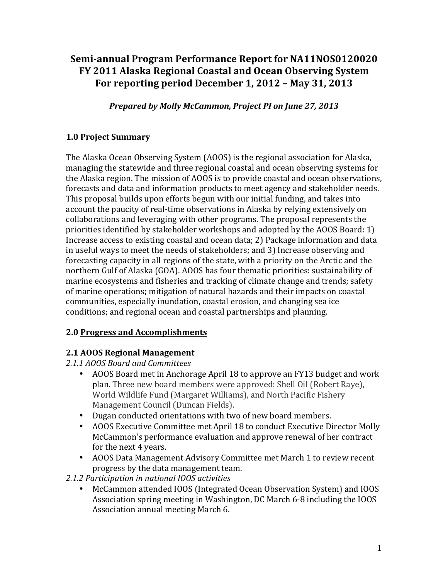# Semi-annual Program Performance Report for NA11NOS0120020 **FY 2011 Alaska Regional Coastal and Ocean Observing System** For reporting period December 1, 2012 - May 31, 2013

*Prepared by Molly McCammon, Project PI on June 27, 2013* 

## **1.0 Project Summary**

The Alaska Ocean Observing System (AOOS) is the regional association for Alaska, managing the statewide and three regional coastal and ocean observing systems for the Alaska region. The mission of AOOS is to provide coastal and ocean observations, forecasts and data and information products to meet agency and stakeholder needs. This proposal builds upon efforts begun with our initial funding, and takes into account the paucity of real-time observations in Alaska by relying extensively on collaborations and leveraging with other programs. The proposal represents the priorities identified by stakeholder workshops and adopted by the AOOS Board:  $1$ ) Increase access to existing coastal and ocean data; 2) Package information and data in useful ways to meet the needs of stakeholders; and 3) Increase observing and forecasting capacity in all regions of the state, with a priority on the Arctic and the northern Gulf of Alaska (GOA). AOOS has four thematic priorities: sustainability of marine ecosystems and fisheries and tracking of climate change and trends; safety of marine operations; mitigation of natural hazards and their impacts on coastal communities, especially inundation, coastal erosion, and changing sea ice conditions; and regional ocean and coastal partnerships and planning.

### **2.0 Progress and Accomplishments**

### **2.1 AOOS Regional Management**

*2.1.1 AOOS Board and Committees*

- AOOS Board met in Anchorage April 18 to approve an FY13 budget and work plan. Three new board members were approved: Shell Oil (Robert Raye), World Wildlife Fund (Margaret Williams), and North Pacific Fishery Management Council (Duncan Fields).
- Dugan conducted orientations with two of new board members.
- AOOS Executive Committee met April 18 to conduct Executive Director Molly McCammon's performance evaluation and approve renewal of her contract for the next 4 years.
- AOOS Data Management Advisory Committee met March 1 to review recent progress by the data management team.
- *2.1.2 Participation in national IOOS activities*
	- McCammon attended IOOS (Integrated Ocean Observation System) and IOOS Association spring meeting in Washington, DC March 6-8 including the IOOS Association annual meeting March 6.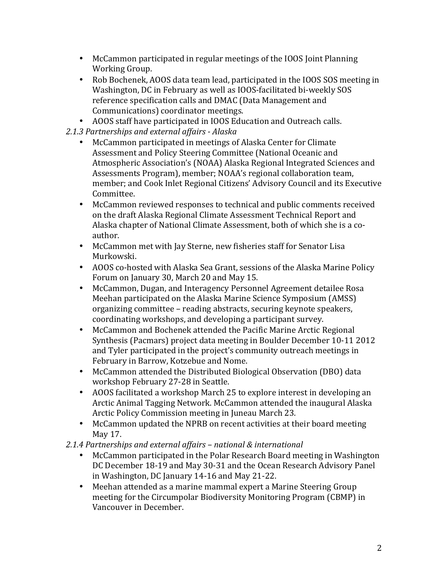- McCammon participated in regular meetings of the IOOS Joint Planning Working Group.
- Rob Bochenek, AOOS data team lead, participated in the IOOS SOS meeting in Washington, DC in February as well as IOOS-facilitated bi-weekly SOS reference specification calls and DMAC (Data Management and Communications) coordinator meetings.
- AOOS staff have participated in IOOS Education and Outreach calls.
- *2.1.3 Partnerships and external affairs - Alaska*
	- McCammon participated in meetings of Alaska Center for Climate Assessment and Policy Steering Committee (National Oceanic and Atmospheric Association's (NOAA) Alaska Regional Integrated Sciences and Assessments Program), member; NOAA's regional collaboration team. member; and Cook Inlet Regional Citizens' Advisory Council and its Executive Committee.
	- McCammon reviewed responses to technical and public comments received on the draft Alaska Regional Climate Assessment Technical Report and Alaska chapter of National Climate Assessment, both of which she is a coauthor.
	- McCammon met with Jay Sterne, new fisheries staff for Senator Lisa Murkowski.
	- AOOS co-hosted with Alaska Sea Grant, sessions of the Alaska Marine Policy Forum on January 30, March 20 and May 15.
	- McCammon, Dugan, and Interagency Personnel Agreement detailee Rosa Meehan participated on the Alaska Marine Science Symposium (AMSS) organizing committee - reading abstracts, securing keynote speakers, coordinating workshops, and developing a participant survey.
	- McCammon and Bochenek attended the Pacific Marine Arctic Regional Synthesis (Pacmars) project data meeting in Boulder December 10-11 2012 and Tyler participated in the project's community outreach meetings in February in Barrow, Kotzebue and Nome.
	- McCammon attended the Distributed Biological Observation (DBO) data workshop February 27-28 in Seattle.
	- AOOS facilitated a workshop March 25 to explore interest in developing an Arctic Animal Tagging Network. McCammon attended the inaugural Alaska Arctic Policy Commission meeting in Juneau March 23.
	- McCammon updated the NPRB on recent activities at their board meeting May 17.
- *2.1.4 Partnerships and external affairs – national & international*
	- McCammon participated in the Polar Research Board meeting in Washington DC December 18-19 and May 30-31 and the Ocean Research Advisory Panel in Washington, DC January 14-16 and May 21-22.
	- Meehan attended as a marine mammal expert a Marine Steering Group meeting for the Circumpolar Biodiversity Monitoring Program (CBMP) in Vancouver in December.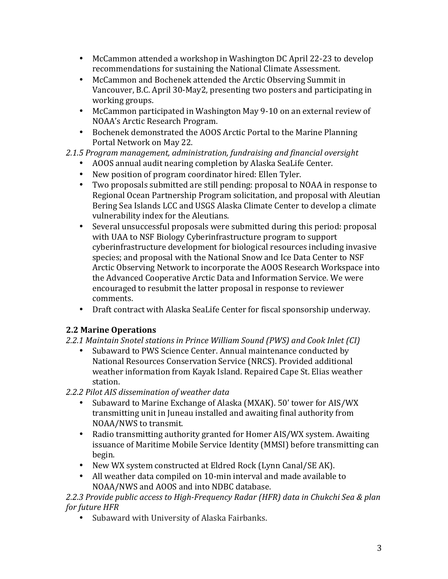- McCammon attended a workshop in Washington DC April 22-23 to develop recommendations for sustaining the National Climate Assessment.
- McCammon and Bochenek attended the Arctic Observing Summit in Vancouver, B.C. April 30-May2, presenting two posters and participating in working groups.
- McCammon participated in Washington May 9-10 on an external review of NOAA's Arctic Research Program.
- Bochenek demonstrated the AOOS Arctic Portal to the Marine Planning Portal Network on May 22.

## *2.1.5 Program management, administration, fundraising and financial oversight*

- AOOS annual audit nearing completion by Alaska SeaLife Center.
- New position of program coordinator hired: Ellen Tyler.
- Two proposals submitted are still pending: proposal to NOAA in response to Regional Ocean Partnership Program solicitation, and proposal with Aleutian Bering Sea Islands LCC and USGS Alaska Climate Center to develop a climate vulnerability index for the Aleutians.
- Several unsuccessful proposals were submitted during this period: proposal with UAA to NSF Biology Cyberinfrastructure program to support cyberinfrastructure development for biological resources including invasive species; and proposal with the National Snow and Ice Data Center to NSF Arctic Observing Network to incorporate the AOOS Research Workspace into the Advanced Cooperative Arctic Data and Information Service. We were encouraged to resubmit the latter proposal in response to reviewer comments.
- Draft contract with Alaska SeaLife Center for fiscal sponsorship underway.

### **2.2 Marine Operations**

- *2.2.1 Maintain Snotel stations in Prince William Sound (PWS) and Cook Inlet (CI)*
	- Subaward to PWS Science Center. Annual maintenance conducted by National Resources Conservation Service (NRCS). Provided additional weather information from Kayak Island. Repaired Cape St. Elias weather station.
- *2.2.2 Pilot AIS dissemination of weather data*
	- Subaward to Marine Exchange of Alaska (MXAK). 50' tower for AIS/WX transmitting unit in Juneau installed and awaiting final authority from NOAA/NWS to transmit.
	- Radio transmitting authority granted for Homer AIS/WX system. Awaiting issuance of Maritime Mobile Service Identity (MMSI) before transmitting can begin.
	- New WX system constructed at Eldred Rock (Lynn Canal/SE AK).
	- All weather data compiled on 10-min interval and made available to NOAA/NWS and AOOS and into NDBC database.

2.2.3 Provide public access to High-Frequency Radar (HFR) data in Chukchi Sea & plan *for future HFR* 

• Subaward with University of Alaska Fairbanks.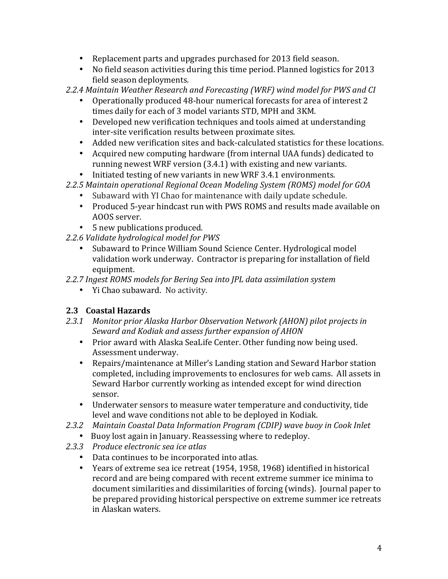- Replacement parts and upgrades purchased for 2013 field season.
- No field season activities during this time period. Planned logistics for 2013 field season deployments.
- *2.2.4 Maintain Weather Research and Forecasting (WRF) wind model for PWS and CI*
	- Operationally produced 48-hour numerical forecasts for area of interest 2 times daily for each of 3 model variants STD, MPH and 3KM.
	- Developed new verification techniques and tools aimed at understanding inter-site verification results between proximate sites.
	- Added new verification sites and back-calculated statistics for these locations.
	- Acquired new computing hardware (from internal UAA funds) dedicated to running newest WRF version  $(3.4.1)$  with existing and new variants.
	- Initiated testing of new variants in new WRF 3.4.1 environments.
- *2.2.5 Maintain operational Regional Ocean Modeling System (ROMS) model for GOA*
	- Subaward with YI Chao for maintenance with daily update schedule.
	- Produced 5-year hindcast run with PWS ROMS and results made available on AOOS server.
	- 5 new publications produced.
- 2.2.6 Validate hydrological model for PWS
	- Subaward to Prince William Sound Science Center. Hydrological model validation work underway. Contractor is preparing for installation of field equipment.
- 2.2.7 Ingest ROMS models for Bering Sea into JPL data assimilation system
	- Yi Chao subaward. No activity.

### **2.3 Coastal Hazards**

- 2.3.1 Monitor prior Alaska Harbor Observation Network (AHON) pilot projects in Seward and Kodiak and assess further expansion of AHON
	- Prior award with Alaska SeaLife Center. Other funding now being used. Assessment underway.
	- Repairs/maintenance at Miller's Landing station and Seward Harbor station completed, including improvements to enclosures for web cams. All assets in Seward Harbor currently working as intended except for wind direction sensor.
	- Underwater sensors to measure water temperature and conductivity, tide level and wave conditions not able to be deployed in Kodiak.
- *2.3.2 Maintain Coastal Data Information Program (CDIP) wave buoy in Cook Inlet*
	- Buoy lost again in January. Reassessing where to redeploy.
- *2.3.3 Produce electronic sea ice atlas*
	- Data continues to be incorporated into atlas.
	- Years of extreme sea ice retreat (1954, 1958, 1968) identified in historical record and are being compared with recent extreme summer ice minima to document similarities and dissimilarities of forcing (winds). Journal paper to be prepared providing historical perspective on extreme summer ice retreats in Alaskan waters.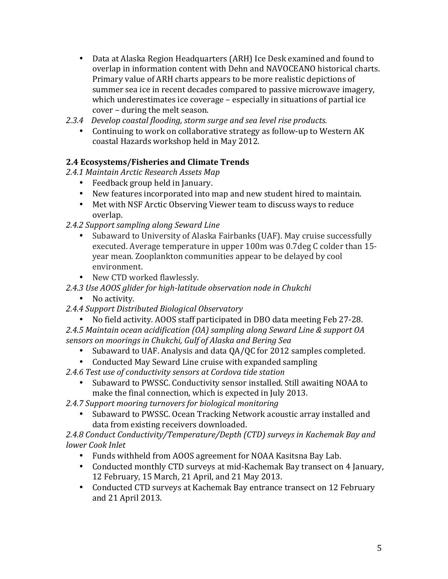- Data at Alaska Region Headquarters (ARH) Ice Desk examined and found to overlap in information content with Dehn and NAVOCEANO historical charts. Primary value of ARH charts appears to be more realistic depictions of summer sea ice in recent decades compared to passive microwave imagery, which underestimates ice coverage - especially in situations of partial ice cover – during the melt season.
- *2.3.4 Develop coastal flooding, storm surge and sea level rise products.*
	- Continuing to work on collaborative strategy as follow-up to Western AK coastal Hazards workshop held in May 2012.

### **2.4 Ecosystems/Fisheries and Climate Trends**

- *2.4.1 Maintain Arctic Research Assets Map*
	- Feedback group held in January.
	- New features incorporated into map and new student hired to maintain.
	- Met with NSF Arctic Observing Viewer team to discuss ways to reduce overlap.
- 2.4.2 Support sampling along Seward Line
	- Subaward to University of Alaska Fairbanks (UAF). May cruise successfully executed. Average temperature in upper 100m was 0.7deg C colder than 15year mean. Zooplankton communities appear to be delayed by cool environment.
	- New CTD worked flawlessly.
- 2.4.3 Use AOOS glider for high-latitude observation node in Chukchi
	- No activity.
- *2.4.4 Support Distributed Biological Observatory*
	- No field activity. AOOS staff participated in DBO data meeting Feb 27-28.
- *2.4.5 Maintain ocean acidification (OA) sampling along Seward Line & support OA sensors on moorings in Chukchi, Gulf of Alaska and Bering Sea*
	- Subaward to UAF. Analysis and data OA/OC for 2012 samples completed.
	- Conducted May Seward Line cruise with expanded sampling
- 2.4.6 Test use of conductivity sensors at Cordova tide station
	- Subaward to PWSSC. Conductivity sensor installed. Still awaiting NOAA to make the final connection, which is expected in July 2013.
- 2.4.7 Support mooring turnovers for biological monitoring
	- Subaward to PWSSC. Ocean Tracking Network acoustic array installed and data from existing receivers downloaded.

2.4.8 Conduct Conductivity/Temperature/Depth (CTD) surveys in Kachemak Bay and *lower Cook Inlet*

- Funds withheld from AOOS agreement for NOAA Kasitsna Bay Lab.
- Conducted monthly CTD surveys at mid-Kachemak Bay transect on 4 January, 12 February, 15 March, 21 April, and 21 May 2013.
- Conducted CTD surveys at Kachemak Bay entrance transect on 12 February and 21 April 2013.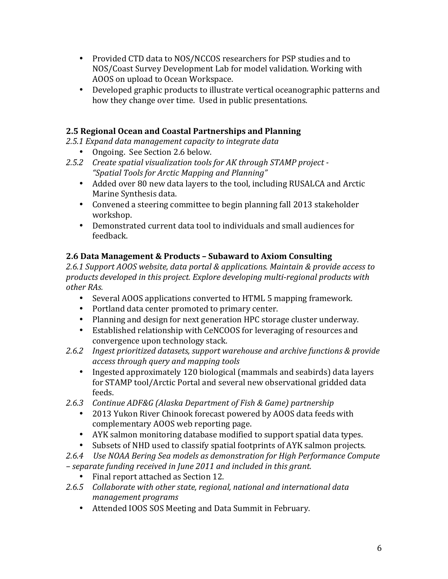- Provided CTD data to NOS/NCCOS researchers for PSP studies and to NOS/Coast Survey Development Lab for model validation. Working with AOOS on upload to Ocean Workspace.
- Developed graphic products to illustrate vertical oceanographic patterns and how they change over time. Used in public presentations.

### **2.5 Regional Ocean and Coastal Partnerships and Planning**

2.5.1 Expand data management capacity to integrate data

- Ongoing. See Section 2.6 below.
- 2.5.2 Create spatial visualization tools for AK through STAMP project -*"Spatial Tools for Arctic Mapping and Planning"*
	- Added over 80 new data layers to the tool, including RUSALCA and Arctic Marine Synthesis data.
	- Convened a steering committee to begin planning fall 2013 stakeholder workshop.
	- Demonstrated current data tool to individuals and small audiences for feedback.

### **2.6 Data Management & Products – Subaward to Axiom Consulting**

2.6.1 Support AOOS website, data portal & applications. Maintain & provide access to products developed in this project. Explore developing multi-regional products with *other RAs.*

- Several AOOS applications converted to HTML 5 mapping framework.
- Portland data center promoted to primary center.
- Planning and design for next generation HPC storage cluster underway.
- Established relationship with CeNCOOS for leveraging of resources and convergence upon technology stack.
- 2.6.2 Ingest prioritized datasets, support warehouse and archive functions & provide *access through query and mapping tools*
	- Ingested approximately 120 biological (mammals and seabirds) data layers for STAMP tool/Arctic Portal and several new observational gridded data feeds.
- 2.6.3 Continue ADF&G (Alaska Department of Fish & Game) partnership
	- 2013 Yukon River Chinook forecast powered by AOOS data feeds with complementary AOOS web reporting page.
	- AYK salmon monitoring database modified to support spatial data types.
	- Subsets of NHD used to classify spatial footprints of AYK salmon projects.
- 2.6.4 Use NOAA Bering Sea models as demonstration for High Performance Compute *– separate funding received in June 2011 and included in this grant.*
	- Final report attached as Section 12.
- 2.6.5 Collaborate with other state, regional, national and international data *management programs*
	- Attended IOOS SOS Meeting and Data Summit in February.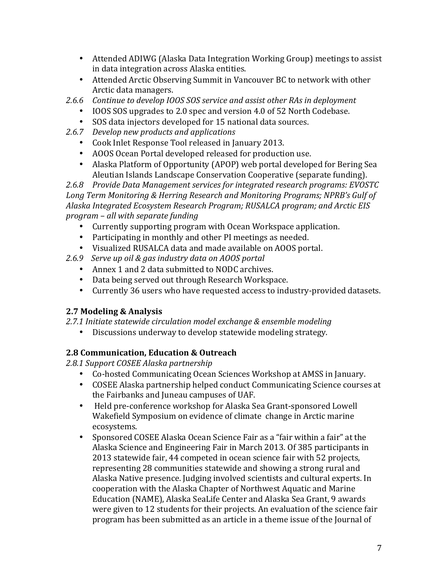- Attended ADIWG (Alaska Data Integration Working Group) meetings to assist in data integration across Alaska entities.
- Attended Arctic Observing Summit in Vancouver BC to network with other Arctic data managers.
- 2.6.6 Continue to develop IOOS SOS service and assist other RAs in deployment
	- IOOS SOS upgrades to 2.0 spec and version 4.0 of 52 North Codebase.
	- SOS data injectors developed for 15 national data sources.
- 2.6.7 *Develop new products and applications* 
	- Cook Inlet Response Tool released in January 2013.
	- AOOS Ocean Portal developed released for production use.
	- Alaska Platform of Opportunity (APOP) web portal developed for Bering Sea Aleutian Islands Landscape Conservation Cooperative (separate funding).

2.6.8 Provide Data Management services for integrated research programs: EVOSTC Long Term Monitoring & Herring Research and Monitoring Programs; NPRB's Gulf of Alaska Integrated *Ecosystem Research Program; RUSALCA program;* and Arctic *EIS program – all with separate funding*

- Currently supporting program with Ocean Workspace application.
- Participating in monthly and other PI meetings as needed.
- Visualized RUSALCA data and made available on AOOS portal.
- *2.6.9 Serve up oil & gas industry data on AOOS portal*
	- Annex 1 and 2 data submitted to NODC archives.
	- Data being served out through Research Workspace.
	- Currently 36 users who have requested access to industry-provided datasets.

## **2.7 Modeling & Analysis**

- 2.7.1 Initiate statewide circulation model exchange & ensemble modeling
	- Discussions underway to develop statewide modeling strategy.

## **2.8 Communication, Education & Outreach**

*2.8.1 Support COSEE Alaska partnership*

- Co-hosted Communicating Ocean Sciences Workshop at AMSS in January.
- COSEE Alaska partnership helped conduct Communicating Science courses at the Fairbanks and Juneau campuses of UAF.
- Held pre-conference workshop for Alaska Sea Grant-sponsored Lowell Wakefield Symposium on evidence of climate change in Arctic marine ecosystems.
- Sponsored COSEE Alaska Ocean Science Fair as a "fair within a fair" at the Alaska Science and Engineering Fair in March 2013. Of 385 participants in 2013 statewide fair, 44 competed in ocean science fair with 52 projects, representing 28 communities statewide and showing a strong rural and Alaska Native presence. Judging involved scientists and cultural experts. In cooperation with the Alaska Chapter of Northwest Aquatic and Marine Education (NAME), Alaska SeaLife Center and Alaska Sea Grant, 9 awards were given to 12 students for their projects. An evaluation of the science fair program has been submitted as an article in a theme issue of the Journal of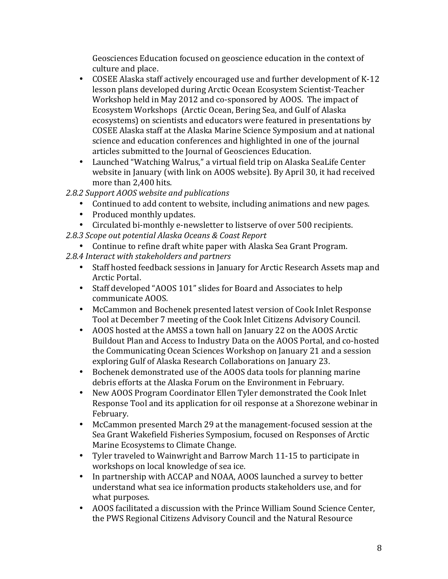Geosciences Education focused on geoscience education in the context of culture and place.

- COSEE Alaska staff actively encouraged use and further development of K-12 lesson plans developed during Arctic Ocean Ecosystem Scientist-Teacher Workshop held in May 2012 and co-sponsored by AOOS. The impact of Ecosystem Workshops (Arctic Ocean, Bering Sea, and Gulf of Alaska ecosystems) on scientists and educators were featured in presentations by COSEE Alaska staff at the Alaska Marine Science Symposium and at national science and education conferences and highlighted in one of the journal articles submitted to the Journal of Geosciences Education.
- Launched "Watching Walrus," a virtual field trip on Alaska SeaLife Center website in January (with link on AOOS website). By April 30, it had received more than 2,400 hits.
- 2.8.2 Support AOOS website and publications
	- Continued to add content to website, including animations and new pages.
	- Produced monthly updates.
	- Circulated bi-monthly e-newsletter to listserve of over 500 recipients.
- *2.8.3 Scope out potential Alaska Oceans & Coast Report*
	- Continue to refine draft white paper with Alaska Sea Grant Program.
- 2.8.4 Interact with stakeholders and partners
	- Staff hosted feedback sessions in January for Arctic Research Assets map and Arctic Portal.
	- Staff developed "AOOS 101" slides for Board and Associates to help communicate AOOS.
	- McCammon and Bochenek presented latest version of Cook Inlet Response Tool at December 7 meeting of the Cook Inlet Citizens Advisory Council.
	- AOOS hosted at the AMSS a town hall on January 22 on the AOOS Arctic Buildout Plan and Access to Industry Data on the AOOS Portal, and co-hosted the Communicating Ocean Sciences Workshop on January 21 and a session exploring Gulf of Alaska Research Collaborations on January 23.
	- Bochenek demonstrated use of the AOOS data tools for planning marine debris efforts at the Alaska Forum on the Environment in February.
	- New AOOS Program Coordinator Ellen Tyler demonstrated the Cook Inlet Response Tool and its application for oil response at a Shorezone webinar in February.
	- McCammon presented March 29 at the management-focused session at the Sea Grant Wakefield Fisheries Symposium, focused on Responses of Arctic Marine Ecosystems to Climate Change.
	- Tyler traveled to Wainwright and Barrow March 11-15 to participate in workshops on local knowledge of sea ice.
	- In partnership with ACCAP and NOAA, AOOS launched a survey to better understand what sea ice information products stakeholders use, and for what purposes.
	- AOOS facilitated a discussion with the Prince William Sound Science Center, the PWS Regional Citizens Advisory Council and the Natural Resource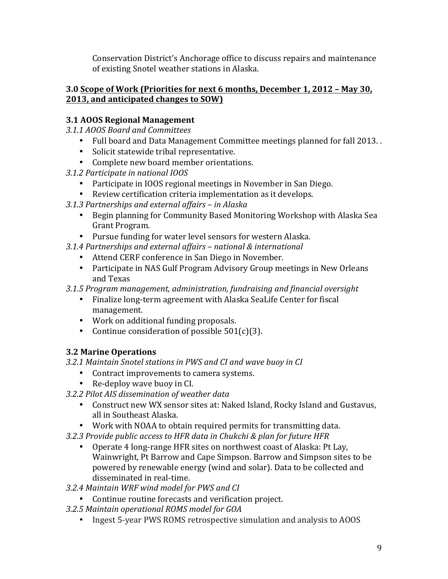Conservation District's Anchorage office to discuss repairs and maintenance of existing Snotel weather stations in Alaska.

#### **3.0 Scope of Work (Priorities for next 6 months, December 1, 2012 - May 30, 2013, and anticipated changes to SOW)**

### **3.1 AOOS Regional Management**

- *3.1.1 AOOS Board and Committees*
	- Full board and Data Management Committee meetings planned for fall 2013. .
	- Solicit statewide tribal representative.
	- Complete new board member orientations.
- *3.1.2 Participate in national IOOS*
	- Participate in IOOS regional meetings in November in San Diego.
	- Review certification criteria implementation as it develops.
- *3.1.3 Partnerships and external affairs – in Alaska*
	- Begin planning for Community Based Monitoring Workshop with Alaska Sea Grant Program.
	- Pursue funding for water level sensors for western Alaska.
- *3.1.4 Partnerships and external affairs – national & international*
	- Attend CERF conference in San Diego in November.
	- Participate in NAS Gulf Program Advisory Group meetings in New Orleans and Texas
- *3.1.5 Program management, administration, fundraising and financial oversight*
	- Finalize long-term agreement with Alaska SeaLife Center for fiscal management.
	- Work on additional funding proposals.
	- Continue consideration of possible  $501(c)(3)$ .

## **3.2 Marine Operations**

*3.2.1 Maintain Snotel stations in PWS and CI and wave buoy in CI*

- Contract improvements to camera systems.
- Re-deploy wave buoy in CI.
- *3.2.2 Pilot AIS dissemination of weather data*
	- Construct new WX sensor sites at: Naked Island, Rocky Island and Gustavus, all in Southeast Alaska.
	- Work with NOAA to obtain required permits for transmitting data.
- *3.2.3 Provide public access to HFR data in Chukchi & plan for future HFR*
	- Operate 4 long-range HFR sites on northwest coast of Alaska: Pt Lay, Wainwright, Pt Barrow and Cape Simpson. Barrow and Simpson sites to be powered by renewable energy (wind and solar). Data to be collected and disseminated in real-time.
- *3.2.4 Maintain WRF wind model for PWS and CI*
	- Continue routine forecasts and verification project.
- *3.2.5 Maintain operational ROMS model for GOA*
	- Ingest 5-year PWS ROMS retrospective simulation and analysis to AOOS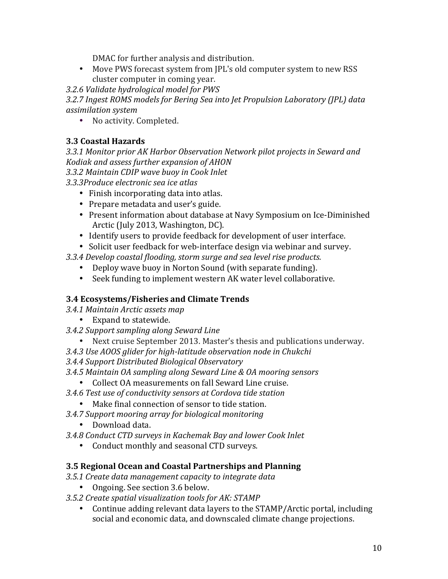DMAC for further analysis and distribution.

• Move PWS forecast system from IPL's old computer system to new RSS cluster computer in coming year.

*3.2.6 Validate hydrological model for PWS*

3.2.7 Ingest ROMS models for Bering Sea into Jet Propulsion Laboratory (JPL) data *assimilation system*

• No activity. Completed.

## **3.3 Coastal Hazards**

*3.3.1 Monitor prior AK Harbor Observation Network pilot projects in Seward and Kodiak and assess further expansion of AHON*

*3.3.2 Maintain CDIP wave buoy in Cook Inlet*

*3.3.3Produce electronic sea ice atlas*

- Finish incorporating data into atlas.
- Prepare metadata and user's guide.
- Present information about database at Navy Symposium on Ice-Diminished Arctic (July 2013, Washington, DC).
- Identify users to provide feedback for development of user interface.
- Solicit user feedback for web-interface design via webinar and survey.

*3.3.4 Develop coastal flooding, storm surge and sea level rise products.*

- Deploy wave buoy in Norton Sound (with separate funding).
- Seek funding to implement western AK water level collaborative.

## **3.4 Ecosystems/Fisheries and Climate Trends**

- *3.4.1 Maintain Arctic assets map*
	- Expand to statewide.
- *3.4.2 Support sampling along Seward Line*
	- Next cruise September 2013. Master's thesis and publications underway.
- 3.4.3 Use AOOS glider for high-latitude observation node in Chukchi
- *3.4.4 Support Distributed Biological Observatory*
- *3.4.5 Maintain OA sampling along Seward Line & OA mooring sensors*
	- Collect OA measurements on fall Seward Line cruise.
- *3.4.6 Test use of conductivity sensors at Cordova tide station*
	- Make final connection of sensor to tide station.
- *3.4.7 Support mooring array for biological monitoring*
	- Download data.
- *3.4.8 Conduct CTD surveys in Kachemak Bay and lower Cook Inlet*
	- Conduct monthly and seasonal CTD surveys.

## **3.5 Regional Ocean and Coastal Partnerships and Planning**

- *3.5.1 Create data management capacity to integrate data*
	- Ongoing. See section 3.6 below.
- 3.5.2 Create spatial visualization tools for AK: STAMP
	- Continue adding relevant data layers to the STAMP/Arctic portal, including social and economic data, and downscaled climate change projections.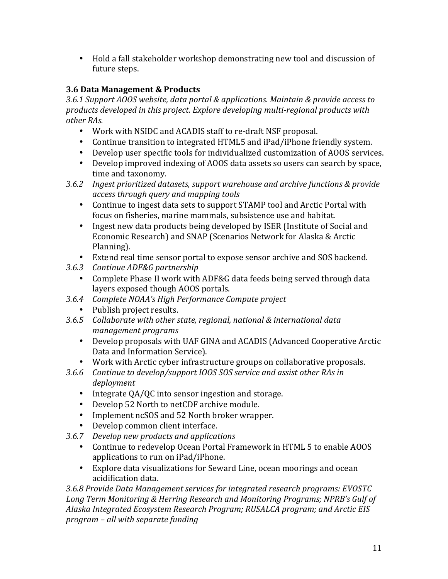• Hold a fall stakeholder workshop demonstrating new tool and discussion of future steps.

## **3.6 Data Management & Products**

3.6.1 Support AOOS website, data portal & applications. Maintain & provide access to products developed in this project. Explore developing multi-regional products with *other RAs.*

- Work with NSIDC and ACADIS staff to re-draft NSF proposal.
- Continue transition to integrated HTML5 and iPad/iPhone friendly system.
- Develop user specific tools for individualized customization of AOOS services.
- Develop improved indexing of AOOS data assets so users can search by space, time and taxonomy.
- 3.6.2 Ingest prioritized datasets, support warehouse and archive functions & provide *access through query and mapping tools*
	- Continue to ingest data sets to support STAMP tool and Arctic Portal with focus on fisheries, marine mammals, subsistence use and habitat.
	- Ingest new data products being developed by ISER (Institute of Social and Economic Research) and SNAP (Scenarios Network for Alaska & Arctic Planning).
	- Extend real time sensor portal to expose sensor archive and SOS backend.
- *3.6.3 Continue ADF&G partnership*
	- Complete Phase II work with ADF&G data feeds being served through data layers exposed though AOOS portals.
- *3.6.4 Complete NOAA's High Performance Compute project*
	- Publish project results.
- 3.6.5 Collaborate with other state, regional, national & international data *management programs*
	- Develop proposals with UAF GINA and ACADIS (Advanced Cooperative Arctic Data and Information Service).
	- Work with Arctic cyber infrastructure groups on collaborative proposals.
- 3.6.6 Continue to develop/support IOOS SOS service and assist other RAs in *deployment*
	- Integrate QA/QC into sensor ingestion and storage.
	- Develop 52 North to netCDF archive module.
	- Implement ncSOS and 52 North broker wrapper.
	- Develop common client interface.
- 3.6.7 *Develop new products and applications* 
	- Continue to redevelop Ocean Portal Framework in HTML 5 to enable AOOS applications to run on iPad/iPhone.
	- Explore data visualizations for Seward Line, ocean moorings and ocean acidification data.

*3.6.8 Provide Data Management services for integrated research programs: EVOSTC*  Long Term Monitoring & Herring Research and Monitoring Programs; NPRB's Gulf of Alaska Integrated *Ecosystem Research Program; RUSALCA program; and Arctic EIS program – all with separate funding*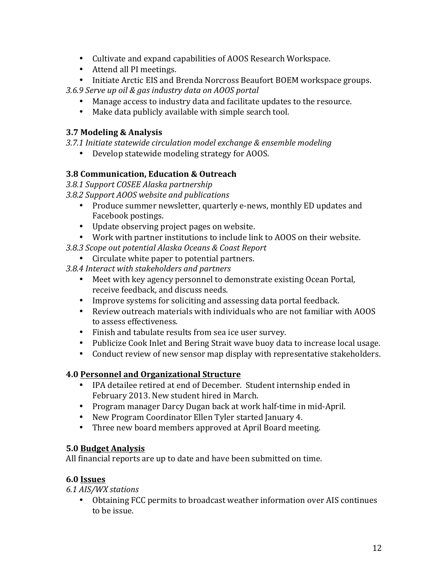- Cultivate and expand capabilities of AOOS Research Workspace.
- Attend all PI meetings.
- Initiate Arctic EIS and Brenda Norcross Beaufort BOEM workspace groups.
- 3.6.9 *Serve up oil & gas industry data on AOOS portal* 
	- Manage access to industry data and facilitate updates to the resource.
	- Make data publicly available with simple search tool.

### **3.7 Modeling & Analysis**

3.7.1 Initiate statewide circulation model exchange & ensemble modeling

• Develop statewide modeling strategy for AOOS.

## **3.8 Communication, Education & Outreach**

*3.8.1 Support COSEE Alaska partnership*

*3.8.2 Support AOOS website and publications*

- Produce summer newsletter, quarterly e-news, monthly ED updates and Facebook postings.
- Update observing project pages on website.
- Work with partner institutions to include link to AOOS on their website.

*3.8.3 Scope out potential Alaska Oceans & Coast Report*

• Circulate white paper to potential partners.

*3.8.4 Interact with stakeholders and partners*

- Meet with key agency personnel to demonstrate existing Ocean Portal, receive feedback, and discuss needs.
- Improve systems for soliciting and assessing data portal feedback.
- Review outreach materials with individuals who are not familiar with AOOS to assess effectiveness.
- Finish and tabulate results from sea ice user survey.
- Publicize Cook Inlet and Bering Strait wave buoy data to increase local usage.
- Conduct review of new sensor map display with representative stakeholders.

## **4.0 Personnel and Organizational Structure**

- IPA detailee retired at end of December. Student internship ended in February 2013. New student hired in March.
- Program manager Darcy Dugan back at work half-time in mid-April.
- New Program Coordinator Ellen Tyler started January 4.
- Three new board members approved at April Board meeting.

## **5.0 Budget Analysis**

All financial reports are up to date and have been submitted on time.

## **6.0 Issues**

*6.1 AIS/WX stations* 

• Obtaining FCC permits to broadcast weather information over AIS continues to be issue.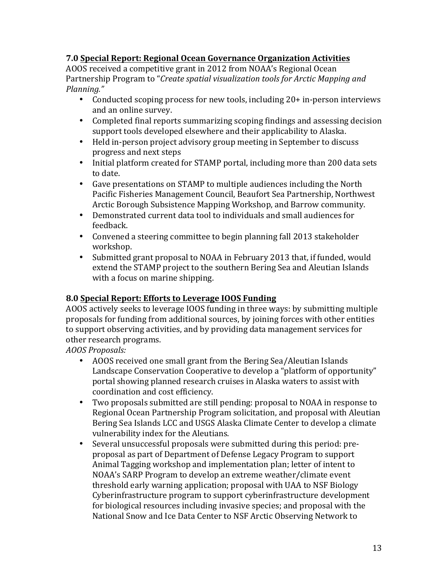### **7.0 Special Report: Regional Ocean Governance Organization Activities**

AOOS received a competitive grant in 2012 from NOAA's Regional Ocean Partnership Program to "*Create spatial visualization tools for Arctic Mapping and Planning."* 

- Conducted scoping process for new tools, including 20+ in-person interviews and an online survey.
- Completed final reports summarizing scoping findings and assessing decision support tools developed elsewhere and their applicability to Alaska.
- Held in-person project advisory group meeting in September to discuss progress and next steps
- Initial platform created for STAMP portal, including more than 200 data sets to date.
- Gave presentations on STAMP to multiple audiences including the North Pacific Fisheries Management Council, Beaufort Sea Partnership, Northwest Arctic Borough Subsistence Mapping Workshop, and Barrow community.
- Demonstrated current data tool to individuals and small audiences for feedback.
- Convened a steering committee to begin planning fall 2013 stakeholder workshop.
- Submitted grant proposal to NOAA in February 2013 that, if funded, would extend the STAMP project to the southern Bering Sea and Aleutian Islands with a focus on marine shipping.

### **8.0 Special Report: Efforts to Leverage IOOS Funding**

AOOS actively seeks to leverage IOOS funding in three ways: by submitting multiple proposals for funding from additional sources, by joining forces with other entities to support observing activities, and by providing data management services for other research programs.

*AOOS Proposals:*

- AOOS received one small grant from the Bering Sea/Aleutian Islands Landscape Conservation Cooperative to develop a "platform of opportunity" portal showing planned research cruises in Alaska waters to assist with coordination and cost efficiency.
- Two proposals submitted are still pending: proposal to NOAA in response to Regional Ocean Partnership Program solicitation, and proposal with Aleutian Bering Sea Islands LCC and USGS Alaska Climate Center to develop a climate vulnerability index for the Aleutians.
- Several unsuccessful proposals were submitted during this period: preproposal as part of Department of Defense Legacy Program to support Animal Tagging workshop and implementation plan; letter of intent to NOAA's SARP Program to develop an extreme weather/climate event threshold early warning application; proposal with UAA to NSF Biology Cyberinfrastructure program to support cyberinfrastructure development for biological resources including invasive species; and proposal with the National Snow and Ice Data Center to NSF Arctic Observing Network to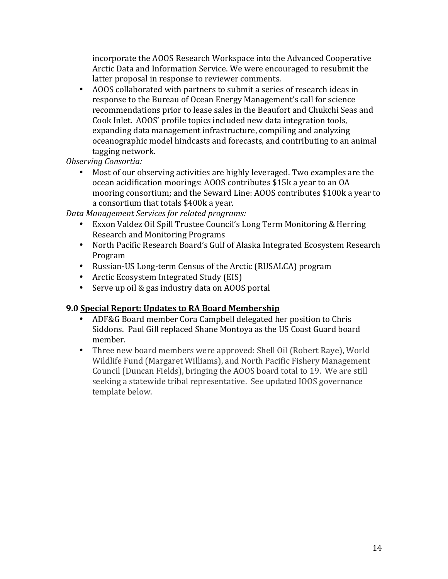incorporate the AOOS Research Workspace into the Advanced Cooperative Arctic Data and Information Service. We were encouraged to resubmit the latter proposal in response to reviewer comments.

• AOOS collaborated with partners to submit a series of research ideas in response to the Bureau of Ocean Energy Management's call for science recommendations prior to lease sales in the Beaufort and Chukchi Seas and Cook Inlet. AOOS' profile topics included new data integration tools, expanding data management infrastructure, compiling and analyzing oceanographic model hindcasts and forecasts, and contributing to an animal tagging network.

*Observing Consortia:*

• Most of our observing activities are highly leveraged. Two examples are the ocean acidification moorings: AOOS contributes \$15k a year to an OA mooring consortium; and the Seward Line: AOOS contributes \$100k a year to a consortium that totals \$400k a year.

*Data Management Services for related programs:*

- Exxon Valdez Oil Spill Trustee Council's Long Term Monitoring & Herring Research and Monitoring Programs
- North Pacific Research Board's Gulf of Alaska Integrated Ecosystem Research Program
- Russian-US Long-term Census of the Arctic (RUSALCA) program
- Arctic Ecosystem Integrated Study (EIS)
- Serve up oil & gas industry data on AOOS portal

#### **9.0 Special Report: Updates to RA Board Membership**

- ADF&G Board member Cora Campbell delegated her position to Chris Siddons. Paul Gill replaced Shane Montoya as the US Coast Guard board member.
- Three new board members were approved: Shell Oil (Robert Raye), World Wildlife Fund (Margaret Williams), and North Pacific Fishery Management Council (Duncan Fields), bringing the AOOS board total to 19. We are still seeking a statewide tribal representative. See updated IOOS governance template below.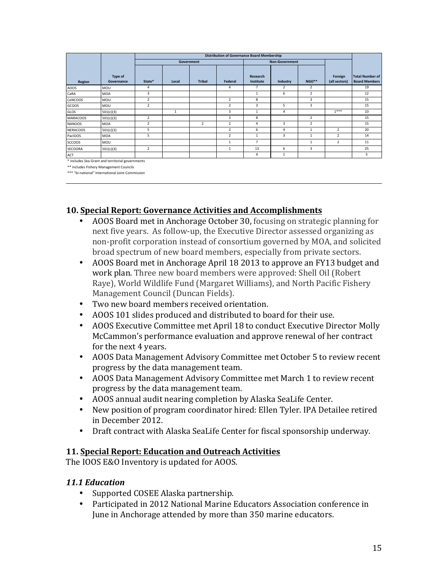|                 |                              | <b>Distribution of Governance Board Membership</b> |              |               |                         |                              |                |                |                          |                                                |
|-----------------|------------------------------|----------------------------------------------------|--------------|---------------|-------------------------|------------------------------|----------------|----------------|--------------------------|------------------------------------------------|
|                 |                              | Government                                         |              |               | <b>Non-Government</b>   |                              |                |                |                          |                                                |
| Region          | <b>Type of</b><br>Governance | State*                                             | Local        | <b>Tribal</b> | Federal                 | <b>Research</b><br>Institute | Industry       | NGO**          | Foreign<br>(all sectors) | <b>Total Number of</b><br><b>Board Members</b> |
| AOOS            | MOU                          | $\overline{4}$                                     |              |               | 4                       | 7                            | $\overline{2}$ | 2              |                          | 19                                             |
| CaRA            | <b>MOA</b>                   | 3                                                  |              |               |                         | $\mathbf{1}$                 | 6              | $\overline{2}$ |                          | 12                                             |
| CeNCOOS         | MOU                          | $\overline{2}$                                     |              |               | 2                       | 8                            |                | 3              |                          | 15                                             |
| GCOOS           | MOU                          | $\overline{2}$                                     |              |               | $\overline{\mathbf{z}}$ | 3                            | 5              | $\overline{3}$ |                          | 15                                             |
| GLOS            | 501(c)(3)                    |                                                    | $\mathbf{1}$ |               | 3                       | 1                            | 4              |                | $1***$                   | 10                                             |
| <b>MARACOOS</b> | 501(c)(3)                    | 2                                                  |              |               | 3                       | 8                            |                | $\overline{2}$ |                          | 15                                             |
| <b>NANOOS</b>   | <b>MOA</b>                   | $\overline{2}$                                     |              | 2             | $\overline{2}$          | 4                            | 3              | 2              |                          | 15                                             |
| NERACOOS        | 501(c)(3)                    | 5                                                  |              |               | $\overline{2}$          | 6                            | 4              | 1              | 2                        | 20                                             |
| PacIOOS         | MOA                          | 5                                                  |              |               | $\overline{2}$          | $\mathbf{1}$                 | 3              | 1              | 2                        | 14                                             |
| <b>SCCOOS</b>   | MOU                          |                                                    |              |               | $\overline{1}$          | $\overline{7}$               |                | $\mathbf{1}$   | 2                        | 11                                             |
| <b>SECOORA</b>  | 501(c)(3)                    | $\overline{2}$                                     |              |               | $\overline{1}$          | 13                           | 6              | 3              |                          | 25                                             |
| <b>ACT</b>      |                              |                                                    |              |               |                         | 4                            | 1              |                |                          | 5                                              |

\* includes Sea Grant and territorial governments \*\* includes Fishery Management Councils

\*\*\* "hi-national" International Joint Commission

#### **10. Special Report: Governance Activities and Accomplishments**

- AOOS Board met in Anchorage October 30, focusing on strategic planning for next five years. As follow-up, the Executive Director assessed organizing as non-profit corporation instead of consortium governed by MOA, and solicited broad spectrum of new board members, especially from private sectors.
- AOOS Board met in Anchorage April 18 2013 to approve an FY13 budget and work plan. Three new board members were approved: Shell Oil (Robert Raye), World Wildlife Fund (Margaret Williams), and North Pacific Fishery Management Council (Duncan Fields).
- Two new board members received orientation.
- AOOS 101 slides produced and distributed to board for their use.
- AOOS Executive Committee met April 18 to conduct Executive Director Molly McCammon's performance evaluation and approve renewal of her contract for the next 4 years.
- AOOS Data Management Advisory Committee met October 5 to review recent progress by the data management team.
- AOOS Data Management Advisory Committee met March 1 to review recent progress by the data management team.
- AOOS annual audit nearing completion by Alaska SeaLife Center.
- New position of program coordinator hired: Ellen Tyler. IPA Detailee retired in December 2012.
- Draft contract with Alaska SeaLife Center for fiscal sponsorship underway.

### **11. Special Report: Education and Outreach Activities**

The IOOS E&O Inventory is updated for AOOS.

#### *11.1 Education*

- Supported COSEE Alaska partnership.
- Participated in 2012 National Marine Educators Association conference in June in Anchorage attended by more than 350 marine educators.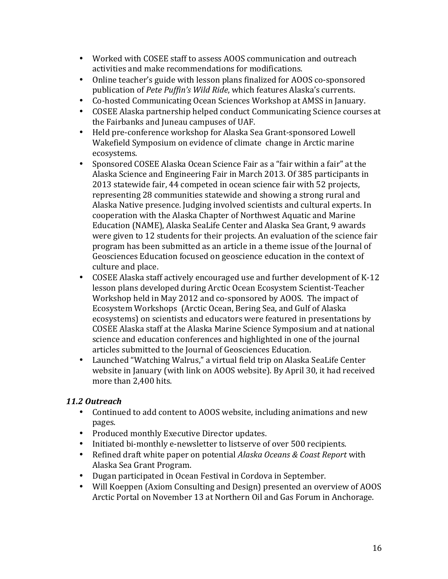- Worked with COSEE staff to assess AOOS communication and outreach activities and make recommendations for modifications.
- Online teacher's guide with lesson plans finalized for AOOS co-sponsored publication of *Pete Puffin's Wild Ride*, which features Alaska's currents.
- Co-hosted Communicating Ocean Sciences Workshop at AMSS in January.
- COSEE Alaska partnership helped conduct Communicating Science courses at the Fairbanks and Juneau campuses of UAF.
- Held pre-conference workshop for Alaska Sea Grant-sponsored Lowell Wakefield Symposium on evidence of climate change in Arctic marine ecosystems.
- Sponsored COSEE Alaska Ocean Science Fair as a "fair within a fair" at the Alaska Science and Engineering Fair in March 2013. Of 385 participants in 2013 statewide fair, 44 competed in ocean science fair with 52 projects, representing 28 communities statewide and showing a strong rural and Alaska Native presence. Judging involved scientists and cultural experts. In cooperation with the Alaska Chapter of Northwest Aquatic and Marine Education (NAME), Alaska SeaLife Center and Alaska Sea Grant, 9 awards were given to 12 students for their projects. An evaluation of the science fair program has been submitted as an article in a theme issue of the Journal of Geosciences Education focused on geoscience education in the context of culture and place.
- COSEE Alaska staff actively encouraged use and further development of K-12 lesson plans developed during Arctic Ocean Ecosystem Scientist-Teacher Workshop held in May 2012 and co-sponsored by AOOS. The impact of Ecosystem Workshops (Arctic Ocean, Bering Sea, and Gulf of Alaska ecosystems) on scientists and educators were featured in presentations by COSEE Alaska staff at the Alaska Marine Science Symposium and at national science and education conferences and highlighted in one of the journal articles submitted to the Journal of Geosciences Education.
- Launched "Watching Walrus," a virtual field trip on Alaska SeaLife Center website in January (with link on AOOS website). By April 30, it had received more than 2,400 hits.

### *11.2 Outreach*

- Continued to add content to AOOS website, including animations and new pages.
- Produced monthly Executive Director updates.
- Initiated bi-monthly e-newsletter to listserve of over 500 recipients.
- Refined draft white paper on potential *Alaska Oceans & Coast Report* with Alaska Sea Grant Program.
- Dugan participated in Ocean Festival in Cordova in September.
- Will Koeppen (Axiom Consulting and Design) presented an overview of AOOS Arctic Portal on November 13 at Northern Oil and Gas Forum in Anchorage.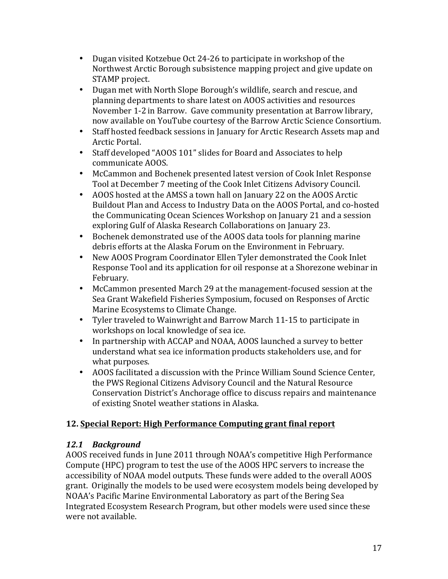- Dugan visited Kotzebue Oct 24-26 to participate in workshop of the Northwest Arctic Borough subsistence mapping project and give update on STAMP project.
- Dugan met with North Slope Borough's wildlife, search and rescue, and planning departments to share latest on AOOS activities and resources November 1-2 in Barrow. Gave community presentation at Barrow library, now available on YouTube courtesy of the Barrow Arctic Science Consortium.
- Staff hosted feedback sessions in January for Arctic Research Assets map and Arctic Portal.
- Staff developed "AOOS 101" slides for Board and Associates to help communicate AOOS.
- McCammon and Bochenek presented latest version of Cook Inlet Response Tool at December 7 meeting of the Cook Inlet Citizens Advisory Council.
- AOOS hosted at the AMSS a town hall on January 22 on the AOOS Arctic Buildout Plan and Access to Industry Data on the AOOS Portal, and co-hosted the Communicating Ocean Sciences Workshop on January 21 and a session exploring Gulf of Alaska Research Collaborations on January 23.
- Bochenek demonstrated use of the AOOS data tools for planning marine debris efforts at the Alaska Forum on the Environment in February.
- New AOOS Program Coordinator Ellen Tyler demonstrated the Cook Inlet Response Tool and its application for oil response at a Shorezone webinar in February.
- McCammon presented March 29 at the management-focused session at the Sea Grant Wakefield Fisheries Symposium, focused on Responses of Arctic Marine Ecosystems to Climate Change.
- Tyler traveled to Wainwright and Barrow March 11-15 to participate in workshops on local knowledge of sea ice.
- In partnership with ACCAP and NOAA, AOOS launched a survey to better understand what sea ice information products stakeholders use, and for what purposes.
- AOOS facilitated a discussion with the Prince William Sound Science Center, the PWS Regional Citizens Advisory Council and the Natural Resource Conservation District's Anchorage office to discuss repairs and maintenance of existing Snotel weather stations in Alaska.

## **12. Special Report: High Performance Computing grant final report**

## *12.1 Background*

AOOS received funds in June 2011 through NOAA's competitive High Performance Compute (HPC) program to test the use of the AOOS HPC servers to increase the accessibility of NOAA model outputs. These funds were added to the overall AOOS grant. Originally the models to be used were ecosystem models being developed by NOAA's Pacific Marine Environmental Laboratory as part of the Bering Sea Integrated Ecosystem Research Program, but other models were used since these were not available.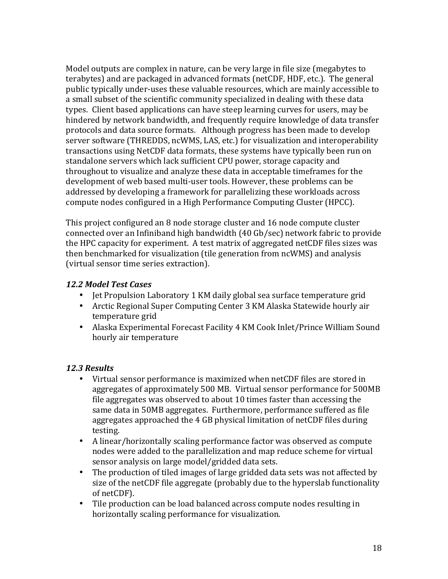Model outputs are complex in nature, can be very large in file size (megabytes to terabytes) and are packaged in advanced formats (netCDF, HDF, etc.). The general public typically under-uses these valuable resources, which are mainly accessible to a small subset of the scientific community specialized in dealing with these data types. Client based applications can have steep learning curves for users, may be hindered by network bandwidth, and frequently require knowledge of data transfer protocols and data source formats. Although progress has been made to develop server software (THREDDS, ncWMS, LAS, etc.) for visualization and interoperability transactions using NetCDF data formats, these systems have typically been run on standalone servers which lack sufficient CPU power, storage capacity and throughout to visualize and analyze these data in acceptable timeframes for the development of web based multi-user tools. However, these problems can be addressed by developing a framework for parallelizing these workloads across compute nodes configured in a High Performance Computing Cluster (HPCC).

This project configured an 8 node storage cluster and 16 node compute cluster connected over an Infiniband high bandwidth (40 Gb/sec) network fabric to provide the HPC capacity for experiment. A test matrix of aggregated netCDF files sizes was then benchmarked for visualization (tile generation from ncWMS) and analysis (virtual sensor time series extraction).

#### *12.2 Model Test Cases*

- Jet Propulsion Laboratory 1 KM daily global sea surface temperature grid
- Arctic Regional Super Computing Center 3 KM Alaska Statewide hourly air temperature grid
- Alaska Experimental Forecast Facility 4 KM Cook Inlet/Prince William Sound hourly air temperature

#### *12.3 Results*

- Virtual sensor performance is maximized when netCDF files are stored in aggregates of approximately 500 MB. Virtual sensor performance for 500MB file aggregates was observed to about  $10$  times faster than accessing the same data in 50MB aggregates. Furthermore, performance suffered as file aggregates approached the 4 GB physical limitation of netCDF files during testing.
- A linear/horizontally scaling performance factor was observed as compute nodes were added to the parallelization and map reduce scheme for virtual sensor analysis on large model/gridded data sets.
- The production of tiled images of large gridded data sets was not affected by size of the netCDF file aggregate (probably due to the hyperslab functionality of netCDF).
- Tile production can be load balanced across compute nodes resulting in horizontally scaling performance for visualization.